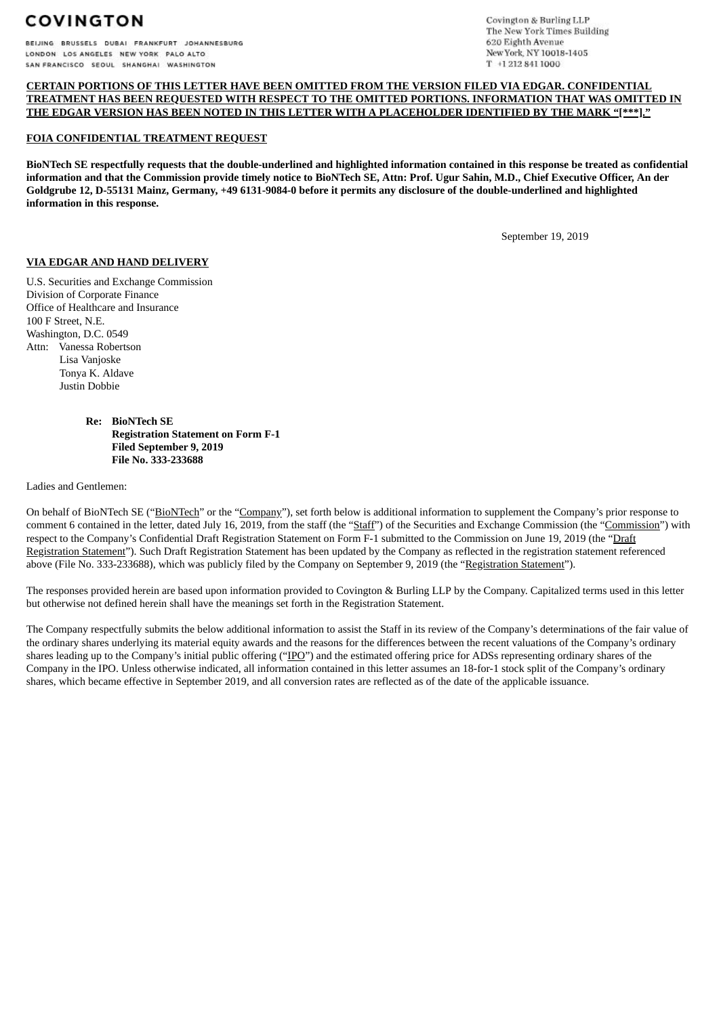BEIJING BRUSSELS DUBAI FRANKFURT JOHANNESBURG LONDON LOS ANGELES NEW YORK PALO ALTO SAN FRANCISCO SEQUL SHANGHAI WASHINGTON

Covington & Burling LLP The New York Times Building 620 Eighth Avenue New York, NY 10018-1405 T +1 212 841 1000

#### **CERTAIN PORTIONS OF THIS LETTER HAVE BEEN OMITTED FROM THE VERSION FILED VIA EDGAR. CONFIDENTIAL TREATMENT HAS BEEN REQUESTED WITH RESPECT TO THE OMITTED PORTIONS. INFORMATION THAT WAS OMITTED IN THE EDGAR VERSION HAS BEEN NOTED IN THIS LETTER WITH A PLACEHOLDER IDENTIFIED BY THE MARK "[\*\*\*]."**

#### **FOIA CONFIDENTIAL TREATMENT REQUEST**

BioNTech SE respectfully requests that the double-underlined and highlighted information contained in this response be treated as confidential information and that the Commission provide timely notice to BioNTech SE, Attn: Prof. Ugur Sahin, M.D., Chief Executive Officer, An der Goldgrube 12, D-55131 Mainz, Germany, +49 6131-9084-0 before it permits any disclosure of the double-underlined and highlighted **information in this response.**

September 19, 2019

#### **VIA EDGAR AND HAND DELIVERY**

U.S. Securities and Exchange Commission Division of Corporate Finance Office of Healthcare and Insurance 100 F Street, N.E. Washington, D.C. 0549 Attn: Vanessa Robertson Lisa Vanjoske Tonya K. Aldave Justin Dobbie

> **Re: BioNTech SE Registration Statement on Form F-1 Filed September 9, 2019 File No. 333-233688**

Ladies and Gentlemen:

On behalf of BioNTech SE ("BioNTech" or the "Company"), set forth below is additional information to supplement the Company's prior response to comment 6 contained in the letter, dated July 16, 2019, from the staff (the "Staff") of the Securities and Exchange Commission (the "Commission") with respect to the Company's Confidential Draft Registration Statement on Form F-1 submitted to the Commission on June 19, 2019 (the "Draft Registration Statement"). Such Draft Registration Statement has been updated by the Company as reflected in the registration statement referenced above (File No. 333-233688), which was publicly filed by the Company on September 9, 2019 (the "Registration Statement").

The responses provided herein are based upon information provided to Covington & Burling LLP by the Company. Capitalized terms used in this letter but otherwise not defined herein shall have the meanings set forth in the Registration Statement.

The Company respectfully submits the below additional information to assist the Staff in its review of the Company's determinations of the fair value of the ordinary shares underlying its material equity awards and the reasons for the differences between the recent valuations of the Company's ordinary shares leading up to the Company's initial public offering ("IPO") and the estimated offering price for ADSs representing ordinary shares of the Company in the IPO. Unless otherwise indicated, all information contained in this letter assumes an 18-for-1 stock split of the Company's ordinary shares, which became effective in September 2019, and all conversion rates are reflected as of the date of the applicable issuance.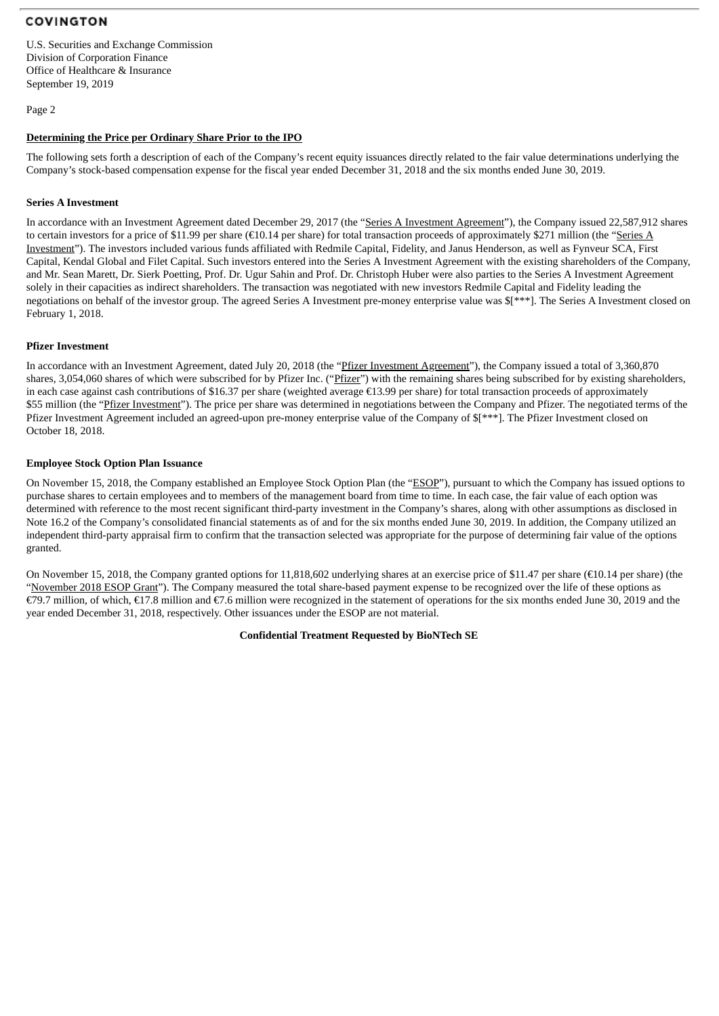U.S. Securities and Exchange Commission Division of Corporation Finance Office of Healthcare & Insurance September 19, 2019

Page 2

#### **Determining the Price per Ordinary Share Prior to the IPO**

The following sets forth a description of each of the Company's recent equity issuances directly related to the fair value determinations underlying the Company's stock-based compensation expense for the fiscal year ended December 31, 2018 and the six months ended June 30, 2019.

#### **Series A Investment**

In accordance with an Investment Agreement dated December 29, 2017 (the "Series A Investment Agreement"), the Company issued 22,587,912 shares to certain investors for a price of \$11.99 per share (€10.14 per share) for total transaction proceeds of approximately \$271 million (the "Series A Investment"). The investors included various funds affiliated with Redmile Capital, Fidelity, and Janus Henderson, as well as Fynveur SCA, First Capital, Kendal Global and Filet Capital. Such investors entered into the Series A Investment Agreement with the existing shareholders of the Company, and Mr. Sean Marett, Dr. Sierk Poetting, Prof. Dr. Ugur Sahin and Prof. Dr. Christoph Huber were also parties to the Series A Investment Agreement solely in their capacities as indirect shareholders. The transaction was negotiated with new investors Redmile Capital and Fidelity leading the negotiations on behalf of the investor group. The agreed Series A Investment pre-money enterprise value was \$[\*\*\*]. The Series A Investment closed on February 1, 2018.

#### **Pfizer Investment**

In accordance with an Investment Agreement, dated July 20, 2018 (the "Pfizer Investment Agreement"), the Company issued a total of 3,360,870 shares, 3,054,060 shares of which were subscribed for by Pfizer Inc. ("Pfizer") with the remaining shares being subscribed for by existing shareholders, in each case against cash contributions of \$16.37 per share (weighted average €13.99 per share) for total transaction proceeds of approximately \$55 million (the "Pfizer Investment"). The price per share was determined in negotiations between the Company and Pfizer. The negotiated terms of the Pfizer Investment Agreement included an agreed-upon pre-money enterprise value of the Company of \$[\*\*\*]. The Pfizer Investment closed on October 18, 2018.

#### **Employee Stock Option Plan Issuance**

On November 15, 2018, the Company established an Employee Stock Option Plan (the "ESOP"), pursuant to which the Company has issued options to purchase shares to certain employees and to members of the management board from time to time. In each case, the fair value of each option was determined with reference to the most recent significant third-party investment in the Company's shares, along with other assumptions as disclosed in Note 16.2 of the Company's consolidated financial statements as of and for the six months ended June 30, 2019. In addition, the Company utilized an independent third-party appraisal firm to confirm that the transaction selected was appropriate for the purpose of determining fair value of the options granted.

On November 15, 2018, the Company granted options for 11,818,602 underlying shares at an exercise price of \$11.47 per share (€10.14 per share) (the "November 2018 ESOP Grant"). The Company measured the total share-based payment expense to be recognized over the life of these options as €79.7 million, of which, €17.8 million and €7.6 million were recognized in the statement of operations for the six months ended June 30, 2019 and the year ended December 31, 2018, respectively. Other issuances under the ESOP are not material.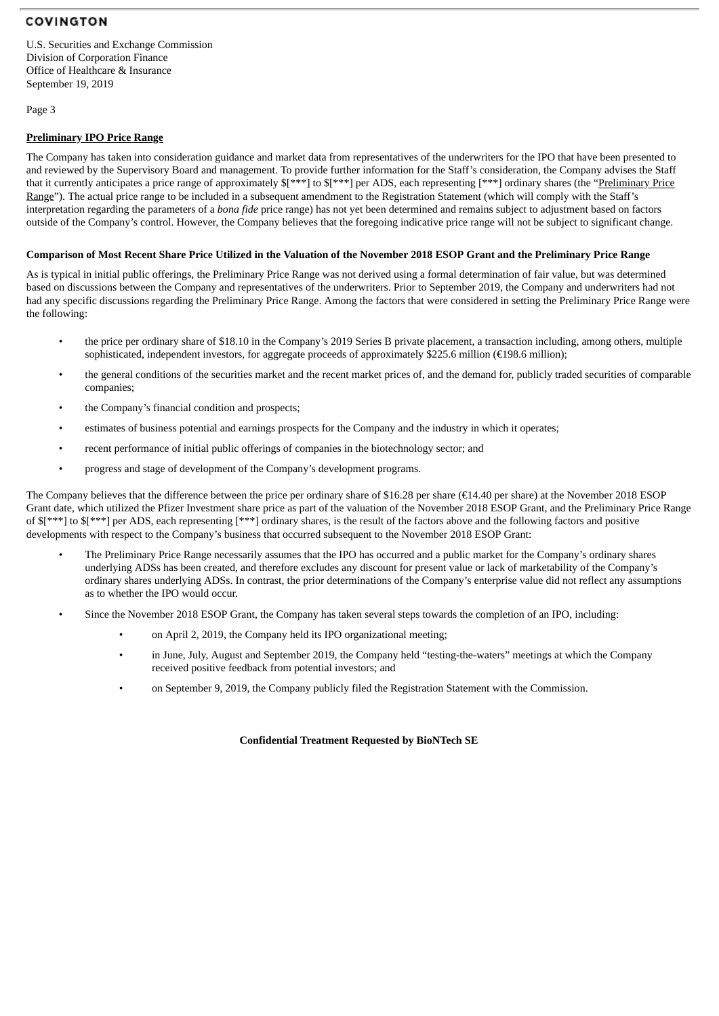U.S. Securities and Exchange Commission Division of Corporation Finance Office of Healthcare & Insurance September 19, 2019

Page 3

#### **Preliminary IPO Price Range**

The Company has taken into consideration guidance and market data from representatives of the underwriters for the IPO that have been presented to and reviewed by the Supervisory Board and management. To provide further information for the Staff's consideration, the Company advises the Staff that it currently anticipates a price range of approximately  $I^{\ast\ast}$ ] to  $I^{\ast\ast}$ ] per ADS, each representing [\*\*\*] ordinary shares (the "Preliminary Price Range"). The actual price range to be included in a subsequent amendment to the Registration Statement (which will comply with the Staff's interpretation regarding the parameters of a *bona fide* price range) has not yet been determined and remains subject to adjustment based on factors outside of the Company's control. However, the Company believes that the foregoing indicative price range will not be subject to significant change.

#### Comparison of Most Recent Share Price Utilized in the Valuation of the November 2018 ESOP Grant and the Preliminary Price Range

As is typical in initial public offerings, the Preliminary Price Range was not derived using a formal determination of fair value, but was determined based on discussions between the Company and representatives of the underwriters. Prior to September 2019, the Company and underwriters had not had any specific discussions regarding the Preliminary Price Range. Among the factors that were considered in setting the Preliminary Price Range were the following:

- the price per ordinary share of \$18.10 in the Company's 2019 Series B private placement, a transaction including, among others, multiple sophisticated, independent investors, for aggregate proceeds of approximately \$225.6 million (€198.6 million);
- the general conditions of the securities market and the recent market prices of, and the demand for, publicly traded securities of comparable companies;
- the Company's financial condition and prospects;
- estimates of business potential and earnings prospects for the Company and the industry in which it operates;
- recent performance of initial public offerings of companies in the biotechnology sector; and
- progress and stage of development of the Company's development programs.

The Company believes that the difference between the price per ordinary share of \$16.28 per share ( $\epsilon$ 14.40 per share) at the November 2018 ESOP Grant date, which utilized the Pfizer Investment share price as part of the valuation of the November 2018 ESOP Grant, and the Preliminary Price Range of \$[\*\*\*] to \$[\*\*\*] per ADS, each representing [\*\*\*] ordinary shares, is the result of the factors above and the following factors and positive developments with respect to the Company's business that occurred subsequent to the November 2018 ESOP Grant:

- The Preliminary Price Range necessarily assumes that the IPO has occurred and a public market for the Company's ordinary shares underlying ADSs has been created, and therefore excludes any discount for present value or lack of marketability of the Company's ordinary shares underlying ADSs. In contrast, the prior determinations of the Company's enterprise value did not reflect any assumptions as to whether the IPO would occur.
- Since the November 2018 ESOP Grant, the Company has taken several steps towards the completion of an IPO, including:
	- on April 2, 2019, the Company held its IPO organizational meeting;
	- in June, July, August and September 2019, the Company held "testing-the-waters" meetings at which the Company received positive feedback from potential investors; and
	- on September 9, 2019, the Company publicly filed the Registration Statement with the Commission.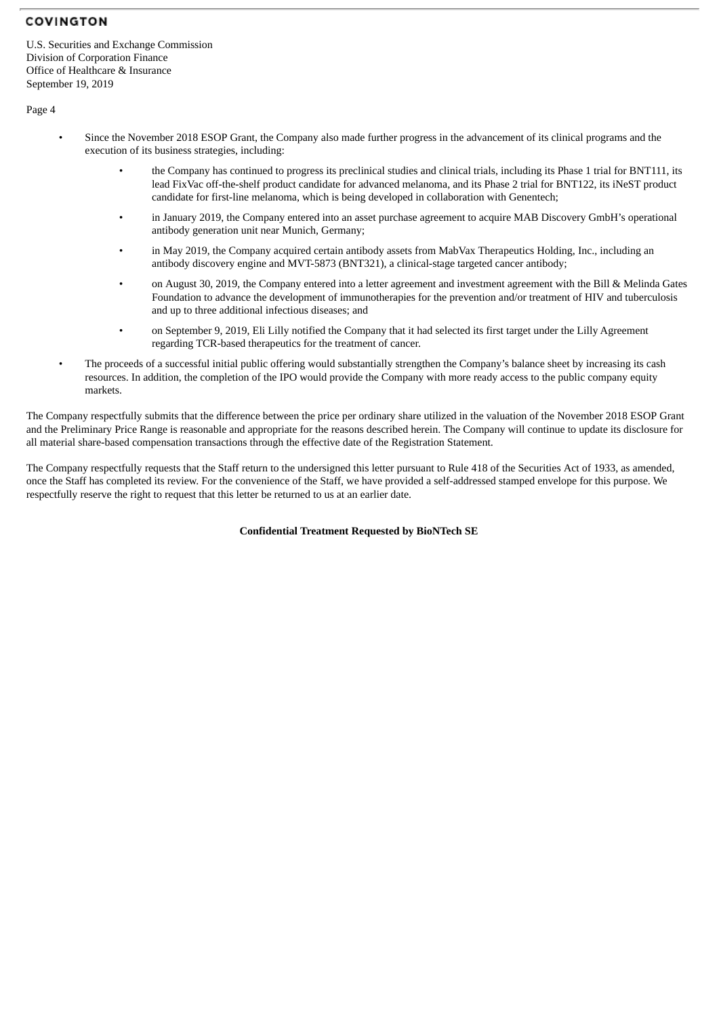U.S. Securities and Exchange Commission Division of Corporation Finance Office of Healthcare & Insurance September 19, 2019

Page 4

- Since the November 2018 ESOP Grant, the Company also made further progress in the advancement of its clinical programs and the execution of its business strategies, including:
	- the Company has continued to progress its preclinical studies and clinical trials, including its Phase 1 trial for BNT111, its lead FixVac off-the-shelf product candidate for advanced melanoma, and its Phase 2 trial for BNT122, its iNeST product candidate for first-line melanoma, which is being developed in collaboration with Genentech;
	- in January 2019, the Company entered into an asset purchase agreement to acquire MAB Discovery GmbH's operational antibody generation unit near Munich, Germany;
	- in May 2019, the Company acquired certain antibody assets from MabVax Therapeutics Holding, Inc., including an antibody discovery engine and MVT-5873 (BNT321), a clinical-stage targeted cancer antibody;
	- on August 30, 2019, the Company entered into a letter agreement and investment agreement with the Bill & Melinda Gates Foundation to advance the development of immunotherapies for the prevention and/or treatment of HIV and tuberculosis and up to three additional infectious diseases; and
	- on September 9, 2019, Eli Lilly notified the Company that it had selected its first target under the Lilly Agreement regarding TCR-based therapeutics for the treatment of cancer.
- The proceeds of a successful initial public offering would substantially strengthen the Company's balance sheet by increasing its cash resources. In addition, the completion of the IPO would provide the Company with more ready access to the public company equity markets.

The Company respectfully submits that the difference between the price per ordinary share utilized in the valuation of the November 2018 ESOP Grant and the Preliminary Price Range is reasonable and appropriate for the reasons described herein. The Company will continue to update its disclosure for all material share-based compensation transactions through the effective date of the Registration Statement.

The Company respectfully requests that the Staff return to the undersigned this letter pursuant to Rule 418 of the Securities Act of 1933, as amended, once the Staff has completed its review. For the convenience of the Staff, we have provided a self-addressed stamped envelope for this purpose. We respectfully reserve the right to request that this letter be returned to us at an earlier date.